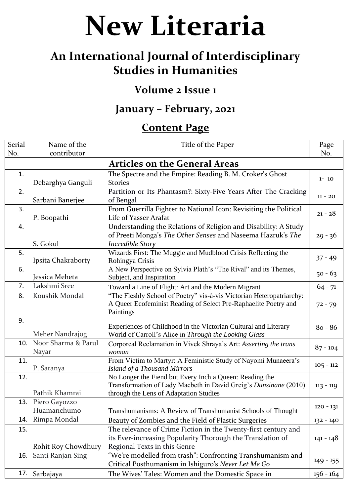**New Literaria**

## **An International Journal of Interdisciplinary Studies in Humanities**

## **Volume 2 Issue 1**

## **January – February, 2021**

## **Content Page**

| Serial<br>No.                        | Name of the<br>contributor   | Title of the Paper                                                                                                                                                    | Page<br>No. |  |
|--------------------------------------|------------------------------|-----------------------------------------------------------------------------------------------------------------------------------------------------------------------|-------------|--|
| <b>Articles on the General Areas</b> |                              |                                                                                                                                                                       |             |  |
| 1.                                   | Debarghya Ganguli            | The Spectre and the Empire: Reading B. M. Croker's Ghost<br><b>Stories</b>                                                                                            | $1 - 10$    |  |
| 2.                                   | Sarbani Banerjee             | Partition or Its Phantasm?: Sixty-Five Years After The Cracking<br>of Bengal                                                                                          | $11 - 20$   |  |
| 3.                                   | P. Boopathi                  | From Guerrilla Fighter to National Icon: Revisiting the Political<br>Life of Yasser Arafat                                                                            | $21 - 28$   |  |
| 4.                                   | S. Gokul                     | Understanding the Relations of Religion and Disability: A Study<br>of Preeti Monga's The Other Senses and Naseema Hazruk's The<br>Incredible Story                    | $29 - 36$   |  |
| 5.                                   | Ipsita Chakraborty           | Wizards First: The Muggle and Mudblood Crisis Reflecting the<br>Rohingya Crisis                                                                                       | $37 - 49$   |  |
| 6.                                   | Jessica Meheta               | A New Perspective on Sylvia Plath's "The Rival" and its Themes,<br>Subject, and Inspiration                                                                           | $50 - 63$   |  |
| 7.                                   | Lakshmi Sree                 | Toward a Line of Flight: Art and the Modern Migrant                                                                                                                   | $64 - 71$   |  |
| 8.                                   | Koushik Mondal               | "The Fleshly School of Poetry" vis-à-vis Victorian Heteropatriarchy:<br>A Queer Ecofeminist Reading of Select Pre-Raphaelite Poetry and<br>Paintings                  | $72 - 79$   |  |
| 9.                                   | Meher Nandrajog              | Experiences of Childhood in the Victorian Cultural and Literary<br>World of Carroll's Alice in Through the Looking Glass                                              | $80 - 86$   |  |
| 10.                                  | Noor Sharma & Parul<br>Nayar | Corporeal Reclamation in Vivek Shraya's Art: Asserting the trans<br>woman                                                                                             | $87 - 104$  |  |
| 11.                                  | P. Saranya                   | From Victim to Martyr: A Feministic Study of Nayomi Munaeera's<br><b>Island of a Thousand Mirrors</b>                                                                 | $105 - 112$ |  |
| 12.                                  | Pathik Khamrai               | No Longer the Fiend but Every Inch a Queen: Reading the<br>Transformation of Lady Macbeth in David Greig's Dunsinane (2010)<br>through the Lens of Adaptation Studies | $113 - 119$ |  |
| 13.                                  | Piero Gayozzo<br>Huamanchumo | Transhumanisms: A Review of Transhumanist Schools of Thought                                                                                                          | $120 - 131$ |  |
| 14.                                  | Rimpa Mondal                 | Beauty of Zombies and the Field of Plastic Surgeries                                                                                                                  | $132 - 140$ |  |
| 15.                                  | Rohit Roy Chowdhury          | The relevance of Crime Fiction in the Twenty-first century and<br>its Ever-increasing Popularity Thorough the Translation of<br>Regional Texts in this Genre          | $141 - 148$ |  |
| 16.                                  | Santi Ranjan Sing            | "We're modelled from trash": Confronting Transhumanism and<br>Critical Posthumanism in Ishiguro's Never Let Me Go                                                     | $149 - 155$ |  |
| 17.                                  | Sarbajaya                    | The Wives' Tales: Women and the Domestic Space in                                                                                                                     | $156 - 164$ |  |